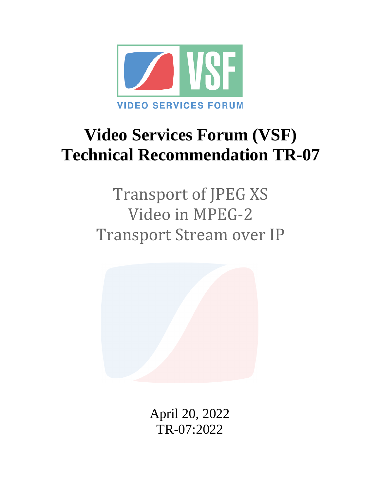

# **Video Services Forum (VSF) Technical Recommendation TR-07**

Transport of JPEG XS Video in MPEG-2 Transport Stream over IP



April 20, 2022 TR-07:2022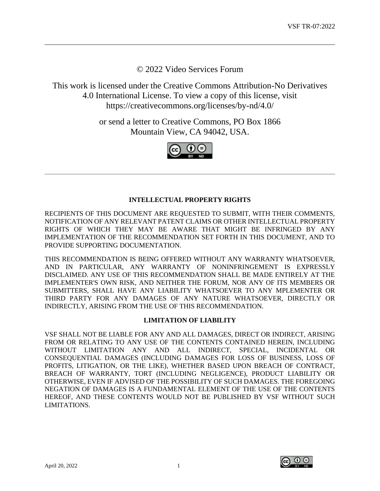© 2022 Video Services Forum

This work is licensed under the Creative Commons Attribution-No Derivatives 4.0 International License. To view a copy of this license, visit https://creativecommons.org/licenses/by-nd/4.0/

> or send a letter to Creative Commons, PO Box 1866 Mountain View, CA 94042, USA.



## **INTELLECTUAL PROPERTY RIGHTS**

RECIPIENTS OF THIS DOCUMENT ARE REQUESTED TO SUBMIT, WITH THEIR COMMENTS, NOTIFICATION OF ANY RELEVANT PATENT CLAIMS OR OTHER INTELLECTUAL PROPERTY RIGHTS OF WHICH THEY MAY BE AWARE THAT MIGHT BE INFRINGED BY ANY IMPLEMENTATION OF THE RECOMMENDATION SET FORTH IN THIS DOCUMENT, AND TO PROVIDE SUPPORTING DOCUMENTATION.

THIS RECOMMENDATION IS BEING OFFERED WITHOUT ANY WARRANTY WHATSOEVER, AND IN PARTICULAR, ANY WARRANTY OF NONINFRINGEMENT IS EXPRESSLY DISCLAIMED. ANY USE OF THIS RECOMMENDATION SHALL BE MADE ENTIRELY AT THE IMPLEMENTER'S OWN RISK, AND NEITHER THE FORUM, NOR ANY OF ITS MEMBERS OR SUBMITTERS, SHALL HAVE ANY LIABILITY WHATSOEVER TO ANY MPLEMENTER OR THIRD PARTY FOR ANY DAMAGES OF ANY NATURE WHATSOEVER, DIRECTLY OR INDIRECTLY, ARISING FROM THE USE OF THIS RECOMMENDATION.

## **LIMITATION OF LIABILITY**

VSF SHALL NOT BE LIABLE FOR ANY AND ALL DAMAGES, DIRECT OR INDIRECT, ARISING FROM OR RELATING TO ANY USE OF THE CONTENTS CONTAINED HEREIN, INCLUDING WITHOUT LIMITATION ANY AND ALL INDIRECT, SPECIAL, INCIDENTAL OR CONSEQUENTIAL DAMAGES (INCLUDING DAMAGES FOR LOSS OF BUSINESS, LOSS OF PROFITS, LITIGATION, OR THE LIKE), WHETHER BASED UPON BREACH OF CONTRACT, BREACH OF WARRANTY, TORT (INCLUDING NEGLIGENCE), PRODUCT LIABILITY OR OTHERWISE, EVEN IF ADVISED OF THE POSSIBILITY OF SUCH DAMAGES. THE FOREGOING NEGATION OF DAMAGES IS A FUNDAMENTAL ELEMENT OF THE USE OF THE CONTENTS HEREOF, AND THESE CONTENTS WOULD NOT BE PUBLISHED BY VSF WITHOUT SUCH LIMITATIONS.

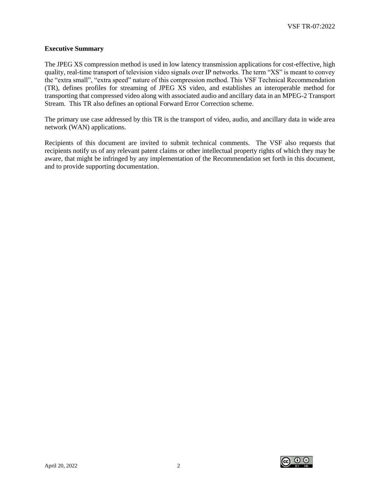#### **Executive Summary**

The JPEG XS compression method is used in low latency transmission applications for cost-effective, high quality, real-time transport of television video signals over IP networks. The term "XS" is meant to convey the "extra small", "extra speed" nature of this compression method. This VSF Technical Recommendation (TR), defines profiles for streaming of JPEG XS video, and establishes an interoperable method for transporting that compressed video along with associated audio and ancillary data in an MPEG-2 Transport Stream. This TR also defines an optional Forward Error Correction scheme.

The primary use case addressed by this TR is the transport of video, audio, and ancillary data in wide area network (WAN) applications.

Recipients of this document are invited to submit technical comments. The VSF also requests that recipients notify us of any relevant patent claims or other intellectual property rights of which they may be aware, that might be infringed by any implementation of the Recommendation set forth in this document, and to provide supporting documentation.

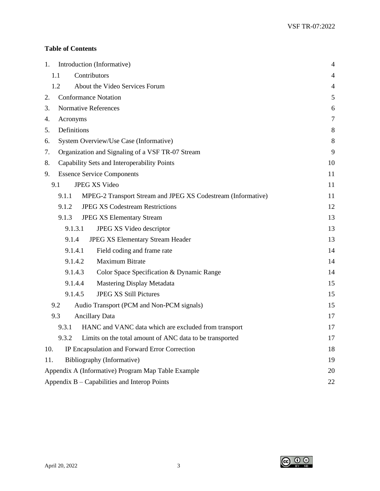# **Table of Contents**

| 1.                                                 | Introduction (Informative)                                            |               |  |  |  |  |  |
|----------------------------------------------------|-----------------------------------------------------------------------|---------------|--|--|--|--|--|
|                                                    | Contributors<br>1.1                                                   |               |  |  |  |  |  |
|                                                    | 1.2<br>About the Video Services Forum                                 | 4             |  |  |  |  |  |
| 2.                                                 | <b>Conformance Notation</b>                                           | $\mathfrak s$ |  |  |  |  |  |
| 3.                                                 | <b>Normative References</b>                                           | 6             |  |  |  |  |  |
| 4.                                                 | Acronyms                                                              | $\tau$        |  |  |  |  |  |
| 5.                                                 | Definitions                                                           | 8             |  |  |  |  |  |
| 6.                                                 | System Overview/Use Case (Informative)                                | 8             |  |  |  |  |  |
| 7.                                                 | Organization and Signaling of a VSF TR-07 Stream                      | 9             |  |  |  |  |  |
| 8.                                                 | Capability Sets and Interoperability Points                           | 10            |  |  |  |  |  |
| 9.                                                 | <b>Essence Service Components</b>                                     | 11            |  |  |  |  |  |
|                                                    | 9.1<br><b>JPEG XS Video</b>                                           | 11            |  |  |  |  |  |
|                                                    | MPEG-2 Transport Stream and JPEG XS Codestream (Informative)<br>9.1.1 | 11            |  |  |  |  |  |
|                                                    | <b>JPEG XS Codestream Restrictions</b><br>9.1.2                       | 12            |  |  |  |  |  |
|                                                    | <b>JPEG XS Elementary Stream</b><br>9.1.3                             | 13            |  |  |  |  |  |
|                                                    | 9.1.3.1<br>JPEG XS Video descriptor                                   | 13            |  |  |  |  |  |
|                                                    | 9.1.4<br><b>JPEG XS Elementary Stream Header</b>                      | 13            |  |  |  |  |  |
|                                                    | 9.1.4.1<br>Field coding and frame rate                                | 14            |  |  |  |  |  |
|                                                    | 9.1.4.2<br>Maximum Bitrate                                            | 14            |  |  |  |  |  |
|                                                    | 9.1.4.3<br>Color Space Specification & Dynamic Range                  | 14            |  |  |  |  |  |
|                                                    | 9.1.4.4<br>Mastering Display Metadata                                 | 15            |  |  |  |  |  |
|                                                    | <b>JPEG XS Still Pictures</b><br>9.1.4.5                              | 15            |  |  |  |  |  |
|                                                    | 9.2<br>Audio Transport (PCM and Non-PCM signals)                      | 15            |  |  |  |  |  |
|                                                    | 9.3<br><b>Ancillary Data</b>                                          | 17            |  |  |  |  |  |
|                                                    | HANC and VANC data which are excluded from transport<br>9.3.1         | 17            |  |  |  |  |  |
|                                                    | 9.3.2 Limits on the total amount of ANC data to be transported        | 17            |  |  |  |  |  |
| 10.                                                | IP Encapsulation and Forward Error Correction                         | 18            |  |  |  |  |  |
| 11.                                                | Bibliography (Informative)<br>19                                      |               |  |  |  |  |  |
| Appendix A (Informative) Program Map Table Example |                                                                       |               |  |  |  |  |  |
|                                                    | Appendix B – Capabilities and Interop Points                          | 22            |  |  |  |  |  |

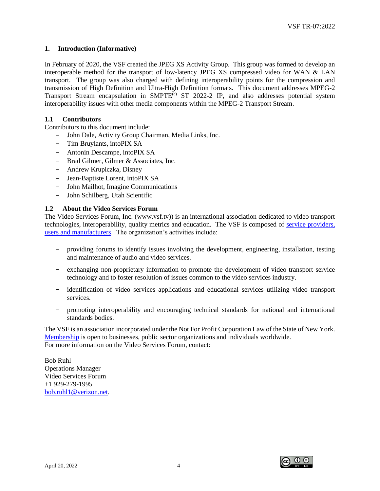#### <span id="page-4-0"></span>**1. Introduction (Informative)**

In February of 2020, the VSF created the JPEG XS Activity Group. This group was formed to develop an interoperable method for the transport of low-latency JPEG XS compressed video for WAN & LAN transport. The group was also charged with defining interoperability points for the compression and transmission of High Definition and Ultra-High Definition formats. This document addresses MPEG-2 Transport Stream encapsulation in SMPTE<sup>(c)</sup> ST 2022-2 IP, and also addresses potential system interoperability issues with other media components within the MPEG-2 Transport Stream.

#### <span id="page-4-1"></span>**1.1 Contributors**

Contributors to this document include:

- − John Dale, Activity Group Chairman, Media Links, Inc.
- − Tim Bruylants, intoPIX SA
- − Antonin Descampe, intoPIX SA
- − Brad Gilmer, Gilmer & Associates, Inc.
- − Andrew Krupiczka, Disney
- − Jean-Baptiste Lorent, intoPIX SA
- − John Mailhot, Imagine Communications
- − John Schilberg, Utah Scientific

#### <span id="page-4-2"></span>**1.2 About the Video Services Forum**

The Video Services Forum, Inc. (www.vsf.tv)) is an international association dedicated to video transport technologies, interoperability, quality metrics and education. The VSF is composed of [service providers,](http://www.videoservicesforum.org/members/members.htm)  [users and manufacturers.](http://www.videoservicesforum.org/members/members.htm) The organization's activities include:

- providing forums to identify issues involving the development, engineering, installation, testing and maintenance of audio and video services.
- − exchanging non-proprietary information to promote the development of video transport service technology and to foster resolution of issues common to the video services industry.
- − identification of video services applications and educational services utilizing video transport services.
- − promoting interoperability and encouraging technical standards for national and international standards bodies.

The VSF is an association incorporated under the Not For Profit Corporation Law of the State of New York. [Membership](http://www.videoservicesforum.org/membership/membership.htm) is open to businesses, public sector organizations and individuals worldwide. For more information on the Video Services Forum, contact:

Bob Ruhl Operations Manager Video Services Forum +1 929-279-1995 [bob.ruhl1@verizon.net.](mailto:bob.ruhl1@verizon.net)

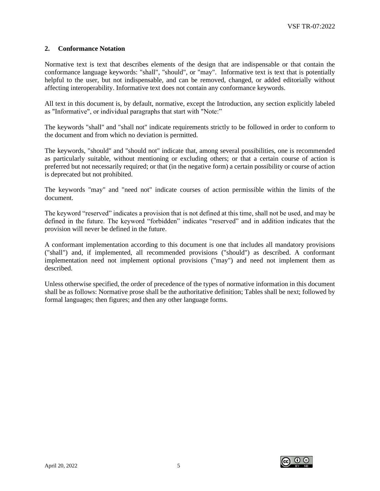#### <span id="page-5-0"></span>**2. Conformance Notation**

Normative text is text that describes elements of the design that are indispensable or that contain the conformance language keywords: "shall", "should", or "may". Informative text is text that is potentially helpful to the user, but not indispensable, and can be removed, changed, or added editorially without affecting interoperability. Informative text does not contain any conformance keywords.

All text in this document is, by default, normative, except the Introduction, any section explicitly labeled as "Informative", or individual paragraphs that start with "Note:"

The keywords "shall" and "shall not" indicate requirements strictly to be followed in order to conform to the document and from which no deviation is permitted.

The keywords, "should" and "should not" indicate that, among several possibilities, one is recommended as particularly suitable, without mentioning or excluding others; or that a certain course of action is preferred but not necessarily required; or that (in the negative form) a certain possibility or course of action is deprecated but not prohibited.

The keywords "may" and "need not" indicate courses of action permissible within the limits of the document.

The keyword "reserved" indicates a provision that is not defined at this time, shall not be used, and may be defined in the future. The keyword "forbidden" indicates "reserved" and in addition indicates that the provision will never be defined in the future.

A conformant implementation according to this document is one that includes all mandatory provisions ("shall") and, if implemented, all recommended provisions ("should") as described. A conformant implementation need not implement optional provisions ("may") and need not implement them as described.

Unless otherwise specified, the order of precedence of the types of normative information in this document shall be as follows: Normative prose shall be the authoritative definition; Tables shall be next; followed by formal languages; then figures; and then any other language forms.

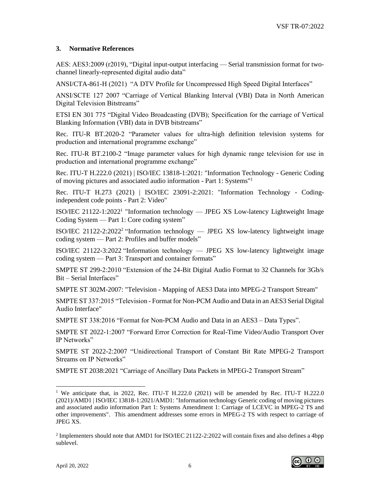#### <span id="page-6-0"></span>**3. Normative References**

AES: AES3:2009 (r2019), "Digital input-output interfacing — Serial transmission format for twochannel linearly-represented digital audio data"

ANSI/CTA-861-H (2021) "A DTV Profile for Uncompressed High Speed Digital Interfaces"

ANSI/SCTE 127 2007 "Carriage of Vertical Blanking Interval (VBI) Data in North American Digital Television Bitstreams"

ETSI EN 301 775 "Digital Video Broadcasting (DVB); Specification for the carriage of Vertical Blanking Information (VBI) data in DVB bitstreams"

Rec. ITU-R BT.2020-2 "Parameter values for ultra-high definition television systems for production and international programme exchange"

Rec. ITU-R BT.2100-2 "Image parameter values for high dynamic range television for use in production and international programme exchange"

Rec. ITU-T H.222.0 (2021) | ISO/IEC 13818-1:2021: "Information Technology - Generic Coding of moving pictures and associated audio information - Part 1: Systems"<sup>1</sup>

Rec. ITU-T H.273 (2021) | ISO/IEC 23091-2:2021: "Information Technology - Codingindependent code points - Part 2: Video"

ISO/IEC 21122-1:2022<sup>1</sup> "Information technology — JPEG XS Low-latency Lightweight Image Coding System — Part 1: Core coding system"

ISO/IEC 21122-2:2022<sup>2</sup> "Information technology — JPEG XS low-latency lightweight image coding system — Part 2: Profiles and buffer models"

ISO/IEC 21122-3:2022 "Information technology — JPEG XS low-latency lightweight image coding system — Part 3: Transport and container formats"

SMPTE ST 299-2:2010 "Extension of the 24-Bit Digital Audio Format to 32 Channels for 3Gb/s Bit – Serial Interfaces"

SMPTE ST 302M-2007: "Television - Mapping of AES3 Data into MPEG-2 Transport Stream"

SMPTE ST 337:2015 "Television - Format for Non-PCM Audio and Data in an AES3 Serial Digital Audio Interface"

SMPTE ST 338:2016 "Format for Non-PCM Audio and Data in an AES3 – Data Types".

SMPTE ST 2022-1:2007 "Forward Error Correction for Real-Time Video/Audio Transport Over IP Networks"

SMPTE ST 2022-2:2007 "Unidirectional Transport of Constant Bit Rate MPEG-2 Transport Streams on IP Networks"

SMPTE ST 2038:2021 "Carriage of Ancillary Data Packets in MPEG-2 Transport Stream"

<sup>&</sup>lt;sup>2</sup> Implementers should note that AMD1 for ISO/IEC 21122-2:2022 will contain fixes and also defines a 4bpp sublevel.



<sup>&</sup>lt;sup>1</sup> We anticipate that, in 2022, Rec. ITU-T H.222.0 (2021) will be amended by Rec. ITU-T H.222.0 (2021)/AMD1 | ISO/IEC 13818-1:2021/AMD1: "Information technology Generic coding of moving pictures and associated audio information Part 1: Systems Amendment 1: Carriage of LCEVC in MPEG-2 TS and other improvements". This amendment addresses some errors in MPEG-2 TS with respect to carriage of JPEG XS.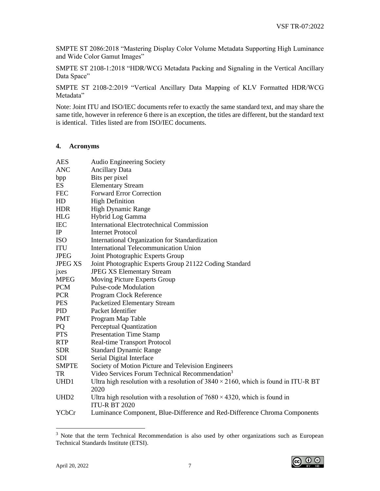SMPTE ST 2086:2018 "Mastering Display Color Volume Metadata Supporting High Luminance and Wide Color Gamut Images"

SMPTE ST 2108-1:2018 "HDR/WCG Metadata Packing and Signaling in the Vertical Ancillary Data Space"

SMPTE ST 2108-2:2019 "Vertical Ancillary Data Mapping of KLV Formatted HDR/WCG Metadata"

Note: Joint ITU and ISO/IEC documents refer to exactly the same standard text, and may share the same title, however in reference 6 there is an exception, the titles are different, but the standard text is identical. Titles listed are from ISO/IEC documents.

#### <span id="page-7-0"></span>**4. Acronyms**

| <b>AES</b>       | <b>Audio Engineering Society</b>                                                                          |
|------------------|-----------------------------------------------------------------------------------------------------------|
| <b>ANC</b>       | <b>Ancillary Data</b>                                                                                     |
| bpp              | Bits per pixel                                                                                            |
| ES               | <b>Elementary Stream</b>                                                                                  |
| <b>FEC</b>       | <b>Forward Error Correction</b>                                                                           |
| HD               | <b>High Definition</b>                                                                                    |
| <b>HDR</b>       | High Dynamic Range                                                                                        |
| HLG              | Hybrid Log Gamma                                                                                          |
| <b>IEC</b>       | <b>International Electrotechnical Commission</b>                                                          |
| IP               | <b>Internet Protocol</b>                                                                                  |
| <b>ISO</b>       | International Organization for Standardization                                                            |
| <b>ITU</b>       | International Telecommunication Union                                                                     |
| <b>JPEG</b>      | Joint Photographic Experts Group                                                                          |
| <b>JPEG XS</b>   | Joint Photographic Experts Group 21122 Coding Standard                                                    |
| jxes             | <b>JPEG XS Elementary Stream</b>                                                                          |
| <b>MPEG</b>      | Moving Picture Experts Group                                                                              |
| <b>PCM</b>       | <b>Pulse-code Modulation</b>                                                                              |
| <b>PCR</b>       | Program Clock Reference                                                                                   |
| <b>PES</b>       | <b>Packetized Elementary Stream</b>                                                                       |
| <b>PID</b>       | Packet Identifier                                                                                         |
| <b>PMT</b>       | Program Map Table                                                                                         |
| <b>PQ</b>        | Perceptual Quantization                                                                                   |
| <b>PTS</b>       | <b>Presentation Time Stamp</b>                                                                            |
| <b>RTP</b>       | Real-time Transport Protocol                                                                              |
| <b>SDR</b>       | <b>Standard Dynamic Range</b>                                                                             |
| <b>SDI</b>       | Serial Digital Interface                                                                                  |
| <b>SMPTE</b>     | Society of Motion Picture and Television Engineers                                                        |
| TR               | Video Services Forum Technical Recommendation <sup>3</sup>                                                |
| UHD <sub>1</sub> | Ultra high resolution with a resolution of $3840 \times 2160$ , which is found in ITU-R BT                |
|                  | 2020                                                                                                      |
| UHD <sub>2</sub> | Ultra high resolution with a resolution of $7680 \times 4320$ , which is found in<br><b>ITU-R BT 2020</b> |
| YCbCr            | Luminance Component, Blue-Difference and Red-Difference Chroma Components                                 |

<sup>&</sup>lt;sup>3</sup> Note that the term Technical Recommendation is also used by other organizations such as European Technical Standards Institute (ETSI).

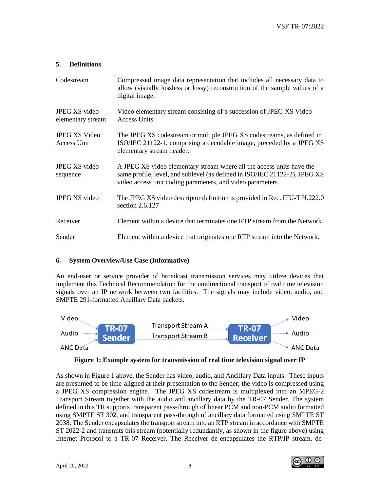## <span id="page-8-0"></span>**5. Definitions**

| Codestream                                | Compressed image data representation that includes all necessary data to<br>allow (visually lossless or lossy) reconstruction of the sample values of a<br>digital image.                                         |
|-------------------------------------------|-------------------------------------------------------------------------------------------------------------------------------------------------------------------------------------------------------------------|
| <b>JPEG XS</b> video<br>elementary stream | Video elementary stream consisting of a succession of JPEG XS Video<br>Access Units.                                                                                                                              |
| <b>JPEG XS Video</b><br>Access Unit       | The JPEG XS codestream or multiple JPEG XS codestreams, as defined in<br>ISO/IEC 21122-1, comprising a decodable image, preceded by a JPEG XS<br>elementary stream header.                                        |
| JPEG XS video<br>sequence                 | A JPEG XS video elementary stream where all the access units have the<br>same profile, level, and sublevel (as defined in ISO/IEC 21122-2), JPEG XS<br>video access unit coding parameters, and video parameters. |
| JPEG XS video                             | The JPEG XS video descriptor definition is provided in Rec. ITU-T H.222.0<br>section 2.6.127                                                                                                                      |
| Receiver                                  | Element within a device that terminates one RTP stream from the Network.                                                                                                                                          |
| Sender                                    | Element within a device that originates one RTP stream into the Network.                                                                                                                                          |

#### <span id="page-8-1"></span>**6. System Overview/Use Case (Informative)**

An end-user or service provider of broadcast transmission services may utilize devices that implement this Technical Recommendation for the unidirectional transport of real time television signals over an IP network between two facilities. The signals may include video, audio, and SMPTE 291-formatted Ancillary Data packets.





As shown in Figure 1 above, the Sender has video, audio, and Ancillary Data inputs. These inputs are presumed to be time-aligned at their presentation to the Sender; the video is compressed using a JPEG XS compression engine. The JPEG XS codestream is multiplexed into an MPEG-2 Transport Stream together with the audio and ancillary data by the TR-07 Sender. The system defined in this TR supports transparent pass-through of linear PCM and non-PCM audio formatted using SMPTE ST 302, and transparent pass-through of ancillary data formatted using SMPTE ST 2038. The Sender encapsulates the transport stream into an RTP stream in accordance with SMPTE ST 2022-2 and transmits this stream (potentially redundantly, as shown in the figure above) using Internet Protocol to a TR-07 Receiver. The Receiver de-encapsulates the RTP/IP stream, de-

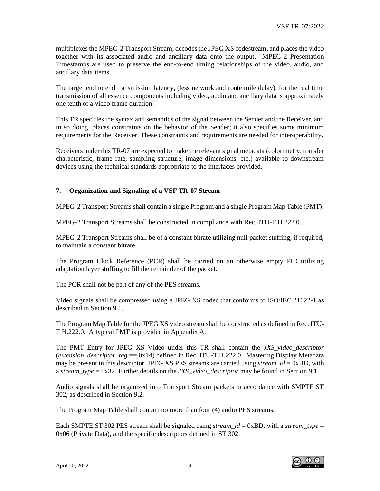multiplexes the MPEG-2 Transport Stream, decodes the JPEG XS codestream, and places the video together with its associated audio and ancillary data onto the output. MPEG-2 Presentation Timestamps are used to preserve the end-to-end timing relationships of the video, audio, and ancillary data items.

The target end to end transmission latency, (less network and route mile delay), for the real time transmission of all essence components including video, audio and ancillary data is approximately one tenth of a video frame duration.

This TR specifies the syntax and semantics of the signal between the Sender and the Receiver, and in so doing, places constraints on the behavior of the Sender; it also specifies some minimum requirements for the Receiver. These constraints and requirements are needed for interoperability.

Receivers under this TR-07 are expected to make the relevant signal metadata (colorimetry, transfer characteristic, frame rate, sampling structure, image dimensions, etc.) available to downstream devices using the technical standards appropriate to the interfaces provided.

## <span id="page-9-0"></span>**7. Organization and Signaling of a VSF TR-07 Stream**

MPEG-2 Transport Streams shall contain a single Program and a single Program Map Table (PMT).

MPEG-2 Transport Streams shall be constructed in compliance with Rec. ITU-T H.222.0.

MPEG-2 Transport Streams shall be of a constant bitrate utilizing null packet stuffing, if required, to maintain a constant bitrate.

The Program Clock Reference (PCR) shall be carried on an otherwise empty PID utilizing adaptation layer stuffing to fill the remainder of the packet.

The PCR shall not be part of any of the PES streams.

Video signals shall be compressed using a JPEG XS codec that conforms to ISO/IEC 21122-1 as described in Section 9.1.

The Program Map Table for the JPEG XS video stream shall be constructed as defined in Rec. ITU-T H.222.0. A typical PMT is provided in Appendix A.

The PMT Entry for JPEG XS Video under this TR shall contain the *JXS\_video\_descriptor* (*extension descriptor tag* == 0x14) defined in Rec. ITU-T H.222.0. Mastering Display Metadata may be present in this descriptor. JPEG XS PES streams are carried using *stream*  $id = 0xBD$ , with a *stream\_type* = 0x32. Further details on the *JXS\_video\_descriptor* may be found in Section 9.1.

Audio signals shall be organized into Transport Stream packets in accordance with SMPTE ST 302, as described in Section 9.2.

The Program Map Table shall contain no more than four (4) audio PES streams.

Each SMPTE ST 302 PES stream shall be signaled using *stream\_id* = 0xBD, with a *stream\_type* = 0x06 (Private Data), and the specific descriptors defined in ST 302.

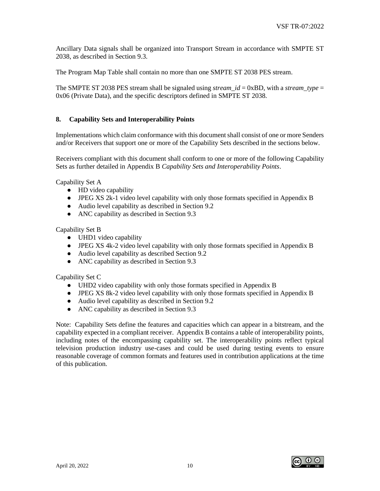Ancillary Data signals shall be organized into Transport Stream in accordance with SMPTE ST 2038, as described in Section 9.3.

The Program Map Table shall contain no more than one SMPTE ST 2038 PES stream.

The SMPTE ST 2038 PES stream shall be signaled using *stream*  $id = 0xBD$ , with a *stream type* = 0x06 (Private Data), and the specific descriptors defined in SMPTE ST 2038.

#### <span id="page-10-0"></span>**8. Capability Sets and Interoperability Points**

Implementations which claim conformance with this document shall consist of one or more Senders and/or Receivers that support one or more of the Capability Sets described in the sections below.

Receivers compliant with this document shall conform to one or more of the following Capability Sets as further detailed in Appendix B *Capability Sets and Interoperability Points*.

Capability Set A

- HD video capability
- JPEG XS 2k-1 video level capability with only those formats specified in Appendix B
- Audio level capability as described in Section 9.2
- ANC capability as described in Section 9.3

Capability Set B

- UHD1 video capability
- JPEG XS 4k-2 video level capability with only those formats specified in Appendix B
- Audio level capability as described Section 9.2
- ANC capability as described in Section 9.3

Capability Set C

- UHD2 video capability with only those formats specified in Appendix B
- JPEG XS 8k-2 video level capability with only those formats specified in Appendix B
- Audio level capability as described in Section 9.2
- ANC capability as described in Section 9.3

Note: Capability Sets define the features and capacities which can appear in a bitstream, and the capability expected in a compliant receiver. Appendix B contains a table of interoperability points, including notes of the encompassing capability set. The interoperability points reflect typical television production industry use-cases and could be used during testing events to ensure reasonable coverage of common formats and features used in contribution applications at the time of this publication.

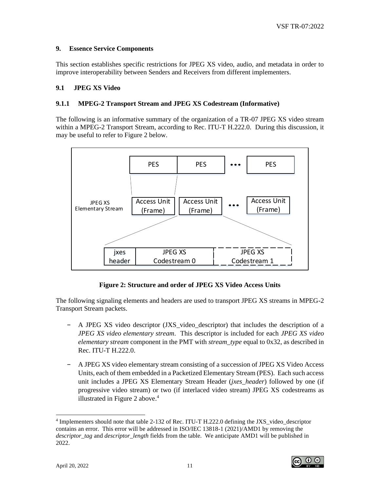#### <span id="page-11-0"></span>**9. Essence Service Components**

This section establishes specific restrictions for JPEG XS video, audio, and metadata in order to improve interoperability between Senders and Receivers from different implementers.

#### <span id="page-11-1"></span>**9.1 JPEG XS Video**

#### <span id="page-11-2"></span>**9.1.1 MPEG-2 Transport Stream and JPEG XS Codestream (Informative)**

The following is an informative summary of the organization of a TR-07 JPEG XS video stream within a MPEG-2 Transport Stream, according to Rec. ITU-T H.222.0. During this discussion, it may be useful to refer to Figure 2 below.



## **Figure 2: Structure and order of JPEG XS Video Access Units**

The following signaling elements and headers are used to transport JPEG XS streams in MPEG-2 Transport Stream packets.

- − A JPEG XS video descriptor (JXS\_video\_descriptor) that includes the description of a *JPEG XS video elementary stream*. This descriptor is included for each *JPEG XS video elementary stream* component in the PMT with *stream\_type* equal to 0x32, as described in Rec. ITU-T H.222.0.
- − A JPEG XS video elementary stream consisting of a succession of JPEG XS Video Access Units, each of them embedded in a Packetized Elementary Stream (PES). Each such access unit includes a JPEG XS Elementary Stream Header (*jxes\_header*) followed by one (if progressive video stream) or two (if interlaced video stream) JPEG XS codestreams as illustrated in Figure 2 above.<sup>4</sup>

<sup>&</sup>lt;sup>4</sup> Implementers should note that table 2-132 of Rec. ITU-T H.222.0 defining the JXS\_video\_descriptor contains an error. This error will be addressed in ISO/IEC 13818-1 (2021)/AMD1 by removing the *descriptor\_tag* and *descriptor\_length* fields from the table. We anticipate AMD1 will be published in 2022.

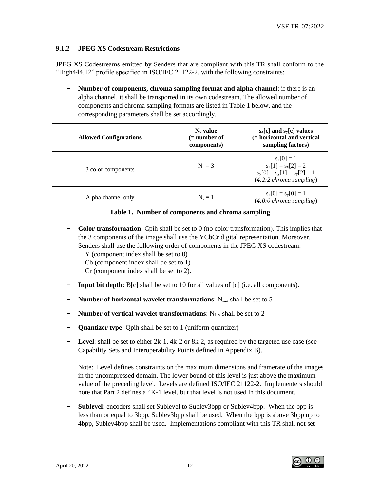## <span id="page-12-0"></span>**9.1.2 JPEG XS Codestream Restrictions**

JPEG XS Codestreams emitted by Senders that are compliant with this TR shall conform to the "High444.12" profile specified in ISO/IEC 21122-2, with the following constraints:

− **Number of components, chroma sampling format and alpha channel**: if there is an alpha channel, it shall be transported in its own codestream. The allowed number of components and chroma sampling formats are listed in Table 1 below, and the corresponding parameters shall be set accordingly.

| <b>Allowed Configurations</b> | N <sub>c</sub> value<br>$(=$ number of<br>components) | $s_x[c]$ and $s_y[c]$ values<br>(= horizontal and vertical<br>sampling factors)                              |  |  |  |  |  |
|-------------------------------|-------------------------------------------------------|--------------------------------------------------------------------------------------------------------------|--|--|--|--|--|
| 3 color components            | $N_c = 3$                                             | $s_x[0] = 1$<br>$s_x[1] = s_x[2] = 2$<br>$s_y[0] = s_y[1] = s_y[2] = 1$<br>$(4:2:2 \text{ chroma sampling})$ |  |  |  |  |  |
| Alpha channel only            | $N_c = 1$                                             | $s_x[0] = s_y[0] = 1$<br>$(4:0:0$ chroma sampling)                                                           |  |  |  |  |  |

**Table 1. Number of components and chroma sampling**

- − **Color transformation**: Cpih shall be set to 0 (no color transformation). This implies that the 3 components of the image shall use the YCbCr digital representation. Moreover, Senders shall use the following order of components in the JPEG XS codestream:
	- Y (component index shall be set to 0)
	- Cb (component index shall be set to 1)
	- Cr (component index shall be set to 2).
- − **Input bit depth**: B[c] shall be set to 10 for all values of [c] (i.e. all components).
- **Number of horizontal wavelet transformations:** N<sub>L,x</sub> shall be set to 5
- − **Number of vertical wavelet transformations**: NL,y shall be set to 2
- − **Quantizer type**: Qpih shall be set to 1 (uniform quantizer)
- − **Level**: shall be set to either 2k-1, 4k-2 or 8k-2, as required by the targeted use case (see Capability Sets and Interoperability Points defined in Appendix B).

Note: Level defines constraints on the maximum dimensions and framerate of the images in the uncompressed domain. The lower bound of this level is just above the maximum value of the preceding level. Levels are defined ISO/IEC 21122-2. Implementers should note that Part 2 defines a 4K-1 level, but that level is not used in this document.

**Sublevel**: encoders shall set Sublevel to Sublev3bpp or Sublev4bpp. When the bpp is less than or equal to 3bpp, Sublev3bpp shall be used. When the bpp is above 3bpp up to 4bpp, Sublev4bpp shall be used. Implementations compliant with this TR shall not set

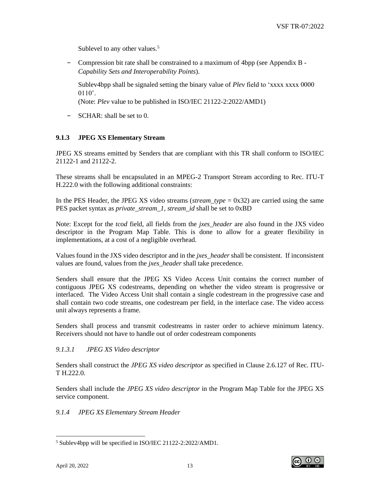Sublevel to any other values.<sup>5</sup>

− Compression bit rate shall be constrained to a maximum of 4bpp (see Appendix B - *Capability Sets and Interoperability Points*).

Sublev4bpp shall be signaled setting the binary value of *Plev* field to 'xxxx xxxx 0000  $0110'$ .

(Note: *Plev* value to be published in ISO/IEC 21122-2:2022/AMD1)

− SCHAR: shall be set to 0.

## <span id="page-13-0"></span>**9.1.3 JPEG XS Elementary Stream**

JPEG XS streams emitted by Senders that are compliant with this TR shall conform to ISO/IEC 21122-1 and 21122-2.

These streams shall be encapsulated in an MPEG-2 Transport Stream according to Rec. ITU-T H.222.0 with the following additional constraints:

In the PES Header, the JPEG XS video streams (*stream\_type* = 0x32) are carried using the same PES packet syntax as *private\_stream\_1*, *stream\_id* shall be set to 0xBD

Note: Except for the *tcod* field, all fields from the *jxes\_header* are also found in the JXS video descriptor in the Program Map Table. This is done to allow for a greater flexibility in implementations, at a cost of a negligible overhead.

Values found in the JXS video descriptor and in the *jxes\_header* shall be consistent. If inconsistent values are found, values from the *jxes\_header* shall take precedence.

Senders shall ensure that the JPEG XS Video Access Unit contains the correct number of contiguous JPEG XS codestreams, depending on whether the video stream is progressive or interlaced. The Video Access Unit shall contain a single codestream in the progressive case and shall contain two code streams, one codestream per field, in the interlace case. The video access unit always represents a frame.

Senders shall process and transmit codestreams in raster order to achieve minimum latency. Receivers should not have to handle out of order codestream components

## <span id="page-13-1"></span>*9.1.3.1 JPEG XS Video descriptor*

Senders shall construct the *JPEG XS video descriptor* as specified in Clause 2.6.127 of Rec. ITU-T H.222.0.

Senders shall include the *JPEG XS video descriptor* in the Program Map Table for the JPEG XS service component.

## <span id="page-13-2"></span>*9.1.4 JPEG XS Elementary Stream Header*

<sup>5</sup> Sublev4bpp will be specified in ISO/IEC 21122-2:2022/AMD1.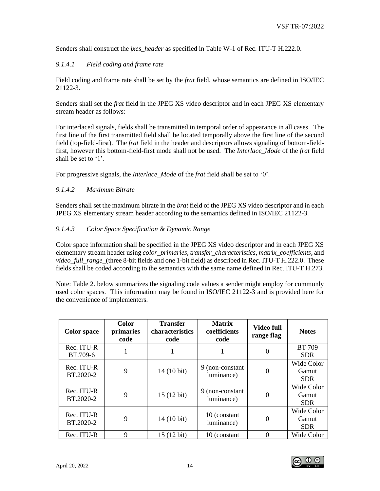Senders shall construct the *jxes\_header* as specified in Table W-1 of Rec. ITU-T H.222.0.

## <span id="page-14-0"></span>*9.1.4.1 Field coding and frame rate*

Field coding and frame rate shall be set by the *frat* field, whose semantics are defined in ISO/IEC 21122-3.

Senders shall set the *frat* field in the JPEG XS video descriptor and in each JPEG XS elementary stream header as follows:

For interlaced signals, fields shall be transmitted in temporal order of appearance in all cases. The first line of the first transmitted field shall be located temporally above the first line of the second field (top-field-first). The *frat* field in the header and descriptors allows signaling of bottom-fieldfirst, however this bottom-field-first mode shall not be used. The *Interlace\_Mode* of the *frat* field shall be set to '1'.

For progressive signals, the *Interlace\_Mode* of the *frat* field shall be set to '0'.

## <span id="page-14-1"></span>*9.1.4.2 Maximum Bitrate*

Senders shall set the maximum bitrate in the *brat* field of the JPEG XS video descriptor and in each JPEG XS elementary stream header according to the semantics defined in ISO/IEC 21122-3.

#### <span id="page-14-2"></span>*9.1.4.3 Color Space Specification & Dynamic Range*

Color space information shall be specified in the JPEG XS video descriptor and in each JPEG XS elementary stream header using *color\_primaries*, *transfer\_characteristics*, *matrix\_coefficients*, and *video\_full\_range\_*(three 8-bit fields and one 1-bit field) as described in Rec. ITU-T H.222.0. These fields shall be coded according to the semantics with the same name defined in Rec. ITU-T H.273.

Note: Table 2. below summarizes the signaling code values a sender might employ for commonly used color spaces. This information may be found in ISO/IEC 21122-3 and is provided here for the convenience of implementers.

| <b>Color</b> space      | <b>Color</b><br>primaries<br>code | <b>Transfer</b><br>characteristics<br>code | <b>Matrix</b><br>coefficients<br>code | Video full<br>range flag | <b>Notes</b>                      |
|-------------------------|-----------------------------------|--------------------------------------------|---------------------------------------|--------------------------|-----------------------------------|
| Rec. ITU-R<br>BT.709-6  | 1                                 |                                            |                                       | $\Omega$                 | <b>BT</b> 709<br><b>SDR</b>       |
| Rec. ITU-R<br>BT.2020-2 | 9                                 | 14 (10 bit)                                | 9 (non-constant)<br>luminance)        | $\Omega$                 | Wide Color<br>Gamut<br><b>SDR</b> |
| Rec. ITU-R<br>BT.2020-2 | 9                                 | 15 (12 bit)                                | 9 (non-constant)<br>luminance)        | $\Omega$                 | Wide Color<br>Gamut<br><b>SDR</b> |
| Rec. ITU-R<br>BT.2020-2 | 9                                 | 14 (10 bit)                                | 10 (constant)<br>luminance)           | $\Omega$                 | Wide Color<br>Gamut<br><b>SDR</b> |
| Rec. ITU-R              | $\mathbf Q$                       | 15 (12 bit)                                | 10 (constant)                         | $\Omega$                 | Wide Color                        |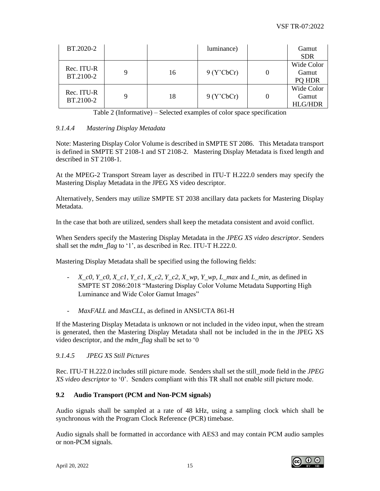| BT.2020-2               |   |    | luminance) | Gamut<br><b>SDR</b>                   |
|-------------------------|---|----|------------|---------------------------------------|
| Rec. ITU-R<br>BT.2100-2 | 9 | 16 | 9 (Y'CbCr) | Wide Color<br>Gamut<br>PQ HDR         |
| Rec. ITU-R<br>BT.2100-2 | 9 | 18 | 9 (Y'CbCr) | Wide Color<br>Gamut<br><b>HLG/HDR</b> |

Table 2 (Informative) – Selected examples of color space specification

## <span id="page-15-0"></span>*9.1.4.4 Mastering Display Metadata*

Note: Mastering Display Color Volume is described in SMPTE ST 2086. This Metadata transport is defined in SMPTE ST 2108-1 and ST 2108-2. Mastering Display Metadata is fixed length and described in ST 2108-1.

At the MPEG-2 Transport Stream layer as described in ITU-T H.222.0 senders may specify the Mastering Display Metadata in the JPEG XS video descriptor.

Alternatively, Senders may utilize SMPTE ST 2038 ancillary data packets for Mastering Display Metadata.

In the case that both are utilized, senders shall keep the metadata consistent and avoid conflict.

When Senders specify the Mastering Display Metadata in the *JPEG XS video descriptor*. Senders shall set the *mdm\_flag* to '1', as described in Rec. ITU-T H.222.0.

Mastering Display Metadata shall be specified using the following fields:

- *X\_c0, Y\_c0, X\_c1, Y\_c1, X\_c2, Y\_c2, X\_wp, Y\_wp, L\_max* and *L\_min*, as defined in SMPTE ST 2086:2018 "Mastering Display Color Volume Metadata Supporting High Luminance and Wide Color Gamut Images"
- *MaxFALL* and *MaxCLL*, as defined in ANSI/CTA 861-H

If the Mastering Display Metadata is unknown or not included in the video input, when the stream is generated, then the Mastering Display Metadata shall not be included in the in the JPEG XS video descriptor, and the *mdm\_flag* shall be set to '0

## <span id="page-15-1"></span>*9.1.4.5 JPEG XS Still Pictures*

Rec. ITU-T H.222.0 includes still picture mode. Senders shall set the still\_mode field in the *JPEG XS video descriptor* to '0'. Senders compliant with this TR shall not enable still picture mode.

## <span id="page-15-2"></span>**9.2 Audio Transport (PCM and Non-PCM signals)**

Audio signals shall be sampled at a rate of 48 kHz, using a sampling clock which shall be synchronous with the Program Clock Reference (PCR) timebase.

Audio signals shall be formatted in accordance with AES3 and may contain PCM audio samples or non-PCM signals.

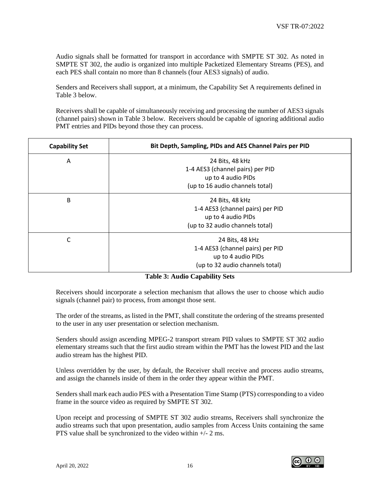Audio signals shall be formatted for transport in accordance with SMPTE ST 302. As noted in SMPTE ST 302, the audio is organized into multiple Packetized Elementary Streams (PES), and each PES shall contain no more than 8 channels (four AES3 signals) of audio.

Senders and Receivers shall support, at a minimum, the Capability Set A requirements defined in Table 3 below.

Receivers shall be capable of simultaneously receiving and processing the number of AES3 signals (channel pairs) shown in Table 3 below. Receivers should be capable of ignoring additional audio PMT entries and PIDs beyond those they can process.

| <b>Capability Set</b> | Bit Depth, Sampling, PIDs and AES Channel Pairs per PID |  |  |  |  |  |  |  |
|-----------------------|---------------------------------------------------------|--|--|--|--|--|--|--|
| A                     | 24 Bits, 48 kHz                                         |  |  |  |  |  |  |  |
|                       | 1-4 AES3 (channel pairs) per PID<br>up to 4 audio PIDs  |  |  |  |  |  |  |  |
|                       | (up to 16 audio channels total)                         |  |  |  |  |  |  |  |
| B                     | 24 Bits, 48 kHz                                         |  |  |  |  |  |  |  |
|                       | 1-4 AES3 (channel pairs) per PID                        |  |  |  |  |  |  |  |
|                       | up to 4 audio PIDs                                      |  |  |  |  |  |  |  |
|                       | (up to 32 audio channels total)                         |  |  |  |  |  |  |  |
| С                     | 24 Bits, 48 kHz                                         |  |  |  |  |  |  |  |
|                       | 1-4 AES3 (channel pairs) per PID                        |  |  |  |  |  |  |  |
|                       | up to 4 audio PIDs                                      |  |  |  |  |  |  |  |
|                       | (up to 32 audio channels total)                         |  |  |  |  |  |  |  |

#### **Table 3: Audio Capability Sets**

Receivers should incorporate a selection mechanism that allows the user to choose which audio signals (channel pair) to process, from amongst those sent.

The order of the streams, as listed in the PMT, shall constitute the ordering of the streams presented to the user in any user presentation or selection mechanism.

Senders should assign ascending MPEG-2 transport stream PID values to SMPTE ST 302 audio elementary streams such that the first audio stream within the PMT has the lowest PID and the last audio stream has the highest PID.

Unless overridden by the user, by default, the Receiver shall receive and process audio streams, and assign the channels inside of them in the order they appear within the PMT.

Senders shall mark each audio PES with a Presentation Time Stamp (PTS) corresponding to a video frame in the source video as required by SMPTE ST 302.

Upon receipt and processing of SMPTE ST 302 audio streams, Receivers shall synchronize the audio streams such that upon presentation, audio samples from Access Units containing the same PTS value shall be synchronized to the video within  $+/- 2$  ms.

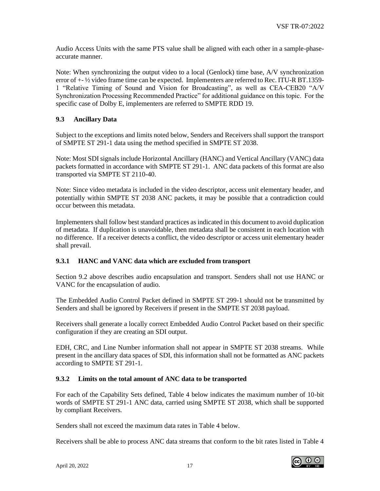Audio Access Units with the same PTS value shall be aligned with each other in a sample-phaseaccurate manner.

Note: When synchronizing the output video to a local (Genlock) time base, A/V synchronization error of  $+$ - $\frac{1}{2}$  video frame time can be expected. Implementers are referred to Rec. ITU-R BT.1359-1 "Relative Timing of Sound and Vision for Broadcasting", as well as CEA-CEB20 "A/V Synchronization Processing Recommended Practice" for additional guidance on this topic. For the specific case of Dolby E, implementers are referred to SMPTE RDD 19.

## <span id="page-17-0"></span>**9.3 Ancillary Data**

Subject to the exceptions and limits noted below, Senders and Receivers shall support the transport of SMPTE ST 291-1 data using the method specified in SMPTE ST 2038.

Note: Most SDI signals include Horizontal Ancillary (HANC) and Vertical Ancillary (VANC) data packets formatted in accordance with SMPTE ST 291-1. ANC data packets of this format are also transported via SMPTE ST 2110-40.

Note: Since video metadata is included in the video descriptor, access unit elementary header, and potentially within SMPTE ST 2038 ANC packets, it may be possible that a contradiction could occur between this metadata.

Implementers shall follow best standard practices as indicated in this document to avoid duplication of metadata. If duplication is unavoidable, then metadata shall be consistent in each location with no difference. If a receiver detects a conflict, the video descriptor or access unit elementary header shall prevail.

#### <span id="page-17-1"></span>**9.3.1 HANC and VANC data which are excluded from transport**

Section 9.2 above describes audio encapsulation and transport. Senders shall not use HANC or VANC for the encapsulation of audio.

The Embedded Audio Control Packet defined in SMPTE ST 299-1 should not be transmitted by Senders and shall be ignored by Receivers if present in the SMPTE ST 2038 payload.

Receivers shall generate a locally correct Embedded Audio Control Packet based on their specific configuration if they are creating an SDI output.

EDH, CRC, and Line Number information shall not appear in SMPTE ST 2038 streams. While present in the ancillary data spaces of SDI, this information shall not be formatted as ANC packets according to SMPTE ST 291-1.

#### <span id="page-17-2"></span>**9.3.2 Limits on the total amount of ANC data to be transported**

For each of the Capability Sets defined, Table 4 below indicates the maximum number of 10-bit words of SMPTE ST 291-1 ANC data, carried using SMPTE ST 2038, which shall be supported by compliant Receivers.

Senders shall not exceed the maximum data rates in Table 4 below.

Receivers shall be able to process ANC data streams that conform to the bit rates listed in Table 4

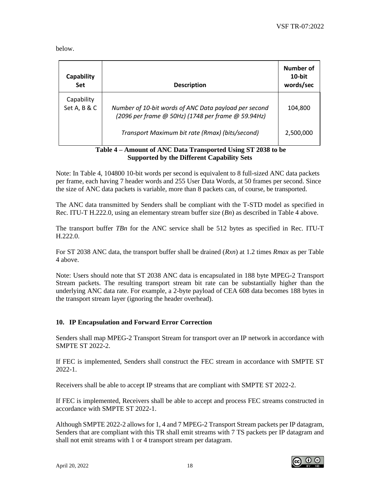below.

| Capability<br><b>Set</b>   | <b>Description</b>                                                                                          | Number of<br>$10$ -bit<br>words/sec |
|----------------------------|-------------------------------------------------------------------------------------------------------------|-------------------------------------|
| Capability<br>Set A, B & C | Number of 10-bit words of ANC Data payload per second<br>(2096 per frame @ 50Hz) (1748 per frame @ 59.94Hz) | 104.800                             |
|                            | Transport Maximum bit rate (Rmax) (bits/second)                                                             | 2,500,000                           |

#### **Table 4 – Amount of ANC Data Transported Using ST 2038 to be Supported by the Different Capability Sets**

Note: In Table 4, 104800 10-bit words per second is equivalent to 8 full-sized ANC data packets per frame, each having 7 header words and 255 User Data Words, at 50 frames per second. Since the size of ANC data packets is variable, more than 8 packets can, of course, be transported.

The ANC data transmitted by Senders shall be compliant with the T-STD model as specified in Rec. ITU-T H.222.0, using an elementary stream buffer size (*Bn*) as described in Table 4 above.

The transport buffer *TBn* for the ANC service shall be 512 bytes as specified in Rec. ITU-T H.222.0.

For ST 2038 ANC data, the transport buffer shall be drained (*Rxn*) at 1.2 times *Rmax* as per Table 4 above.

Note: Users should note that ST 2038 ANC data is encapsulated in 188 byte MPEG-2 Transport Stream packets. The resulting transport stream bit rate can be substantially higher than the underlying ANC data rate. For example, a 2-byte payload of CEA 608 data becomes 188 bytes in the transport stream layer (ignoring the header overhead).

# <span id="page-18-0"></span>**10. IP Encapsulation and Forward Error Correction**

Senders shall map MPEG-2 Transport Stream for transport over an IP network in accordance with SMPTE ST 2022-2.

If FEC is implemented, Senders shall construct the FEC stream in accordance with SMPTE ST 2022-1.

Receivers shall be able to accept IP streams that are compliant with SMPTE ST 2022-2.

If FEC is implemented, Receivers shall be able to accept and process FEC streams constructed in accordance with SMPTE ST 2022-1.

Although SMPTE 2022-2 allows for 1, 4 and 7 MPEG-2 Transport Stream packets per IP datagram, Senders that are compliant with this TR shall emit streams with 7 TS packets per IP datagram and shall not emit streams with 1 or 4 transport stream per datagram.

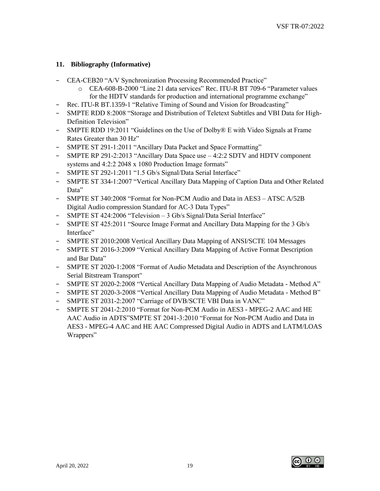## <span id="page-19-0"></span>**11. Bibliography (Informative)**

- − CEA-CEB20 "A/V Synchronization Processing Recommended Practice"
	- o CEA-608-B-2000 "Line 21 data services" Rec. ITU-R BT 709-6 "Parameter values for the HDTV standards for production and international programme exchange"
- − Rec. ITU-R BT.1359-1 "Relative Timing of Sound and Vision for Broadcasting"
- − SMPTE RDD 8:2008 "Storage and Distribution of Teletext Subtitles and VBI Data for High-Definition Television"
- − SMPTE RDD 19:2011 "Guidelines on the Use of Dolby® E with Video Signals at Frame Rates Greater than 30 Hz"
- − SMPTE ST 291-1:2011 "Ancillary Data Packet and Space Formatting"
- − SMPTE RP 291-2:2013 "Ancillary Data Space use 4:2:2 SDTV and HDTV component systems and 4:2:2 2048 x 1080 Production Image formats"
- − SMPTE ST 292-1:2011 "1.5 Gb/s Signal/Data Serial Interface"
- − SMPTE ST 334-1:2007 "Vertical Ancillary Data Mapping of Caption Data and Other Related Data"
- − SMPTE ST 340:2008 "Format for Non-PCM Audio and Data in AES3 ATSC A/52B Digital Audio compression Standard for AC-3 Data Types"
- − SMPTE ST 424:2006 "Television 3 Gb/s Signal/Data Serial Interface"
- − SMPTE ST 425:2011 "Source Image Format and Ancillary Data Mapping for the 3 Gb/s Interface"
- − SMPTE ST 2010:2008 Vertical Ancillary Data Mapping of ANSI/SCTE 104 Messages
- − SMPTE ST 2016-3:2009 "Vertical Ancillary Data Mapping of Active Format Description and Bar Data"
- − SMPTE ST 2020-1:2008 "Format of Audio Metadata and Description of the Asynchronous Serial Bitstream Transport"
- − SMPTE ST 2020-2:2008 "Vertical Ancillary Data Mapping of Audio Metadata Method A"
- − SMPTE ST 2020-3-2008 "Vertical Ancillary Data Mapping of Audio Metadata Method B"
- − SMPTE ST 2031-2:2007 "Carriage of DVB/SCTE VBI Data in VANC"
- − SMPTE ST 2041-2:2010 "Format for Non-PCM Audio in AES3 MPEG-2 AAC and HE AAC Audio in ADTS"SMPTE ST 2041-3:2010 "Format for Non-PCM Audio and Data in AES3 - MPEG-4 AAC and HE AAC Compressed Digital Audio in ADTS and LATM/LOAS Wrappers"

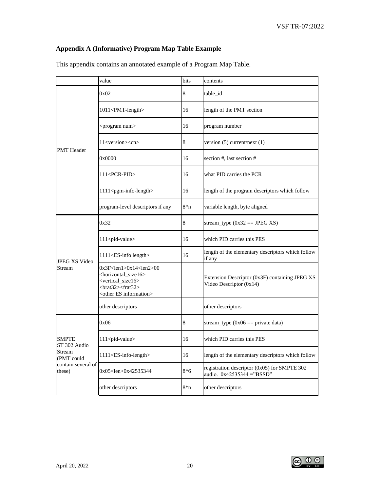# <span id="page-20-0"></span>**Appendix A (Informative) Program Map Table Example**

|                              | value                                                                                                                                                                                               | bits  | contents                                                                  |
|------------------------------|-----------------------------------------------------------------------------------------------------------------------------------------------------------------------------------------------------|-------|---------------------------------------------------------------------------|
|                              | 0x02                                                                                                                                                                                                | 8     | table id                                                                  |
|                              | 1011 <pmt-length></pmt-length>                                                                                                                                                                      | 16    | length of the PMT section                                                 |
|                              | <program num=""></program>                                                                                                                                                                          | 16    | program number                                                            |
| <b>PMT</b> Header            | 11 <version><cn></cn></version>                                                                                                                                                                     | 8     | version $(5)$ current/next $(1)$                                          |
|                              | 0x0000                                                                                                                                                                                              | 16    | section #, last section #                                                 |
|                              | 111 <pcr-pid></pcr-pid>                                                                                                                                                                             | 16    | what PID carries the PCR                                                  |
|                              | 1111 <pgm-info-length></pgm-info-length>                                                                                                                                                            | 16    | length of the program descriptors which follow                            |
|                              | program-level descriptors if any                                                                                                                                                                    | $8*n$ | variable length, byte aligned                                             |
|                              | 0x32                                                                                                                                                                                                | 8     | stream_type $(0x32 == JPEGXS)$                                            |
|                              | 111 <pid-value></pid-value>                                                                                                                                                                         | 16    | which PID carries this PES                                                |
| <b>JPEG XS Video</b>         | 1111 <es-info length=""></es-info>                                                                                                                                                                  | 16    | length of the elementary descriptors which follow<br>if any               |
| Stream                       | $0x3F<$ len $1>0x14<$ len $2>00$<br><horizontal_size16><br/><vertical_size16><br/><brat32><frat32><br/><other es="" information=""></other></frat32></brat32></vertical_size16></horizontal_size16> |       | Extension Descriptor (0x3F) containing JPEG XS<br>Video Descriptor (0x14) |
|                              | other descriptors                                                                                                                                                                                   |       | other descriptors                                                         |
|                              | 0x06                                                                                                                                                                                                | 8     | stream_type $(0x06 == private data)$                                      |
| SMPTE<br>ST 302 Audio        | 111 <pid-value></pid-value>                                                                                                                                                                         | 16    | which PID carries this PES                                                |
| Stream<br>(PMT could         | 1111 <es-info-length></es-info-length>                                                                                                                                                              | 16    | length of the elementary descriptors which follow                         |
| contain several of<br>these) | 0x05 <len>0x42535344</len>                                                                                                                                                                          | $8*6$ | registration descriptor (0x05) for SMPTE 302<br>audio. 0x42535344 ="BSSD" |
|                              | other descriptors                                                                                                                                                                                   | $8*n$ | other descriptors                                                         |

This appendix contains an annotated example of a Program Map Table.

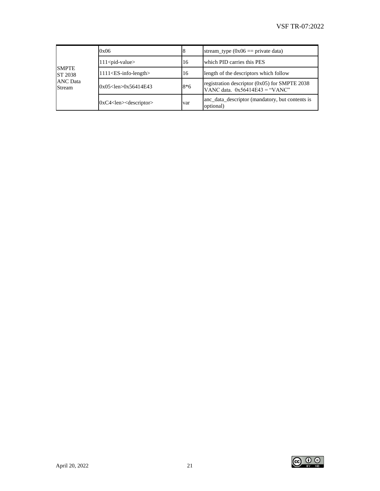|                           | 0x06                          |       | stream_type $(0x06 == private data)$                                                |
|---------------------------|-------------------------------|-------|-------------------------------------------------------------------------------------|
|                           | $111$ <pid-value></pid-value> | 16    | which PID carries this PES                                                          |
| <b>SMPTE</b><br>ST 2038   | $1111$ < ES-info-length >     | 16    | length of the descriptors which follow                                              |
| <b>ANC</b> Data<br>Stream | $0x05$ <len> 0x56414E43</len> | $8*6$ | registration descriptor $(0x05)$ for SMPTE 2038<br>VANC data. $0x56414E43 = "VANC"$ |
|                           | $0xC4$ < len $>$ descriptor   | var   | anc_data_descriptor (mandatory, but contents is<br>optional)                        |

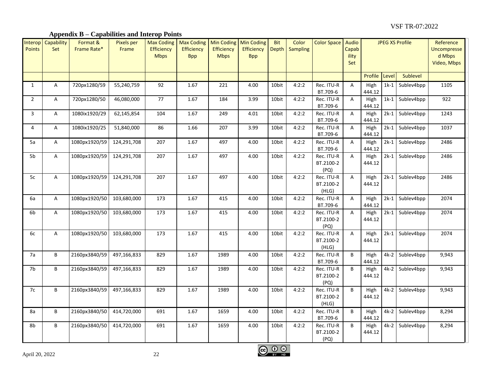# **Appendix B – Capabilities and Interop Points**

<span id="page-22-0"></span>

| Interop<br>Points | Capability<br>Set | Format &<br>Frame Rate* | <b>Pixels per</b><br>Frame | <b>Max Coding</b><br>Efficiency<br><b>Mbps</b> | <b>Max Coding</b><br><b>Efficiency</b><br><b>Bpp</b> | <b>Min Coding</b><br>Efficiency<br><b>Mbps</b> | <b>Min Coding</b><br>Efficiency<br><b>Bpp</b> | <b>Bit</b><br>Depth | Color<br><b>Sampling</b> | Color Space                      | Audio<br>Capab<br>ility<br>Set | <b>JPEG XS Profile</b> |        |                 | Reference<br><b>Uncompresse</b><br>d Mbps<br>Video, Mbps |
|-------------------|-------------------|-------------------------|----------------------------|------------------------------------------------|------------------------------------------------------|------------------------------------------------|-----------------------------------------------|---------------------|--------------------------|----------------------------------|--------------------------------|------------------------|--------|-----------------|----------------------------------------------------------|
|                   |                   |                         |                            |                                                |                                                      |                                                |                                               |                     |                          |                                  |                                | Profile                | Level  | Sublevel        |                                                          |
| $\mathbf{1}$      | A                 | 720px1280/59            | 55,240,759                 | 92                                             | 1.67                                                 | 221                                            | 4.00                                          | 10bit               | 4:2:2                    | Rec. ITU-R<br>BT.709-6           | A                              | High<br>444.12         | $1k-1$ | Sublev4bpp      | 1105                                                     |
| $\overline{2}$    | A                 | 720px1280/50            | 46,080,000                 | 77                                             | 1.67                                                 | 184                                            | 3.99                                          | 10bit               | 4:2:2                    | Rec. ITU-R<br>BT.709-6           | Α                              | High<br>444.12         |        | 1k-1 Sublev4bpp | 922                                                      |
| 3                 | A                 | 1080ix1920/29           | 62,145,854                 | 104                                            | 1.67                                                 | 249                                            | 4.01                                          | 10bit               | 4:2:2                    | Rec. ITU-R<br>BT.709-6           | A                              | High<br>444.12         | $2k-1$ | Sublev4bpp      | 1243                                                     |
| 4                 | A                 | 1080ix1920/25           | 51,840,000                 | 86                                             | 1.66                                                 | 207                                            | 3.99                                          | 10bit               | 4:2:2                    | Rec. ITU-R<br>BT.709-6           | A                              | High<br>444.12         |        | 2k-1 Sublev4bpp | 1037                                                     |
| 5a                | A                 | 1080px1920/59           | 124,291,708                | 207                                            | 1.67                                                 | 497                                            | 4.00                                          | 10bit               | 4:2:2                    | Rec. ITU-R<br>BT.709-6           | А                              | High<br>444.12         |        | 2k-1 Sublev4bpp | 2486                                                     |
| 5b                | A                 | 1080px1920/59           | 124,291,708                | 207                                            | 1.67                                                 | 497                                            | 4.00                                          | 10bit               | 4:2:2                    | Rec. ITU-R<br>BT.2100-2<br>(PQ)  | A                              | High<br>444.12         |        | 2k-1 Sublev4bpp | 2486                                                     |
| 5c                | A                 | 1080px1920/59           | 124,291,708                | 207                                            | 1.67                                                 | 497                                            | 4.00                                          | 10bit               | 4:2:2                    | Rec. ITU-R<br>BT.2100-2<br>(HLG) | A                              | High<br>444.12         |        | 2k-1 Sublev4bpp | 2486                                                     |
| 6a                | A                 | 1080px1920/50           | 103,680,000                | 173                                            | 1.67                                                 | 415                                            | 4.00                                          | 10bit               | 4:2:2                    | Rec. ITU-R<br>BT.709-6           | А                              | High<br>444.12         |        | 2k-1 Sublev4bpp | 2074                                                     |
| 6b                | A                 | 1080px1920/50           | 103,680,000                | 173                                            | 1.67                                                 | 415                                            | 4.00                                          | 10bit               | 4:2:2                    | Rec. ITU-R<br>BT.2100-2<br>(PQ)  | A                              | High<br>444.12         |        | 2k-1 Sublev4bpp | 2074                                                     |
| 6c                | A                 | 1080px1920/50           | 103,680,000                | 173                                            | 1.67                                                 | 415                                            | 4.00                                          | 10bit               | 4:2:2                    | Rec. ITU-R<br>BT.2100-2<br>(HLG) | A                              | High<br>444.12         |        | 2k-1 Sublev4bpp | 2074                                                     |
| 7a                | B                 | 2160px3840/59           | 497,166,833                | 829                                            | 1.67                                                 | 1989                                           | 4.00                                          | 10bit               | 4:2:2                    | Rec. ITU-R<br>BT.709-6           | B                              | High<br>444.12         |        | 4k-2 Sublev4bpp | 9,943                                                    |
| 7 <sub>b</sub>    | B                 | 2160px3840/59           | 497,166,833                | 829                                            | 1.67                                                 | 1989                                           | 4.00                                          | 10bit               | 4:2:2                    | Rec. ITU-R<br>BT.2100-2<br>(PQ)  | B                              | High<br>444.12         | 4k-2   | Sublev4bpp      | 9,943                                                    |
| 7c                | В                 | 2160px3840/59           | 497,166,833                | 829                                            | 1.67                                                 | 1989                                           | 4.00                                          | 10bit               | 4:2:2                    | Rec. ITU-R<br>BT.2100-2<br>(HLG) | B                              | High<br>444.12         |        | 4k-2 Sublev4bpp | 9,943                                                    |
| 8a                | B                 | 2160px3840/50           | 414,720,000                | 691                                            | 1.67                                                 | 1659                                           | 4.00                                          | 10bit               | 4:2:2                    | Rec. ITU-R<br>BT.709-6           | B                              | High<br>444.12         |        | 4k-2 Sublev4bpp | 8,294                                                    |
| 8b                | B                 | 2160px3840/50           | 414,720,000                | 691                                            | 1.67                                                 | 1659                                           | 4.00                                          | 10bit               | 4:2:2                    | Rec. ITU-R<br>BT.2100-2<br>(PQ)  | B                              | High<br>444.12         | $4k-2$ | Sublev4bpp      | 8,294                                                    |